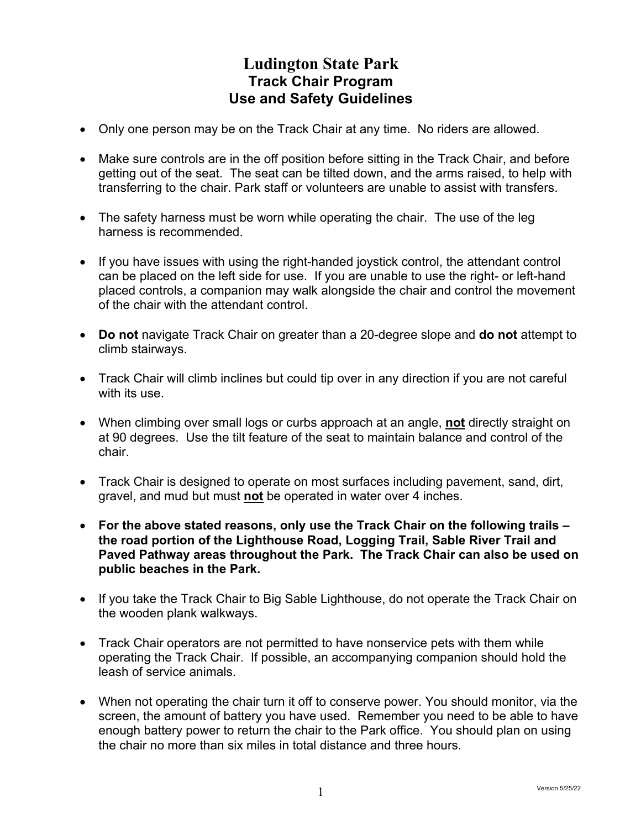## **Ludington State Park Track Chair Program Use and Safety Guidelines**

- Only one person may be on the Track Chair at any time. No riders are allowed.
- Make sure controls are in the off position before sitting in the Track Chair, and before getting out of the seat. The seat can be tilted down, and the arms raised, to help with transferring to the chair. Park staff or volunteers are unable to assist with transfers.
- The safety harness must be worn while operating the chair. The use of the leg harness is recommended.
- If you have issues with using the right-handed joystick control, the attendant control can be placed on the left side for use. If you are unable to use the right- or left-hand placed controls, a companion may walk alongside the chair and control the movement of the chair with the attendant control.
- **Do not** navigate Track Chair on greater than a 20-degree slope and **do not** attempt to climb stairways.
- Track Chair will climb inclines but could tip over in any direction if you are not careful with its use.
- When climbing over small logs or curbs approach at an angle, **not** directly straight on at 90 degrees. Use the tilt feature of the seat to maintain balance and control of the chair.
- Track Chair is designed to operate on most surfaces including pavement, sand, dirt, gravel, and mud but must **not** be operated in water over 4 inches.
- **For the above stated reasons, only use the Track Chair on the following trails – the road portion of the Lighthouse Road, Logging Trail, Sable River Trail and Paved Pathway areas throughout the Park. The Track Chair can also be used on public beaches in the Park.**
- If you take the Track Chair to Big Sable Lighthouse, do not operate the Track Chair on the wooden plank walkways.
- Track Chair operators are not permitted to have nonservice pets with them while operating the Track Chair. If possible, an accompanying companion should hold the leash of service animals.
- When not operating the chair turn it off to conserve power. You should monitor, via the screen, the amount of battery you have used. Remember you need to be able to have enough battery power to return the chair to the Park office. You should plan on using the chair no more than six miles in total distance and three hours.